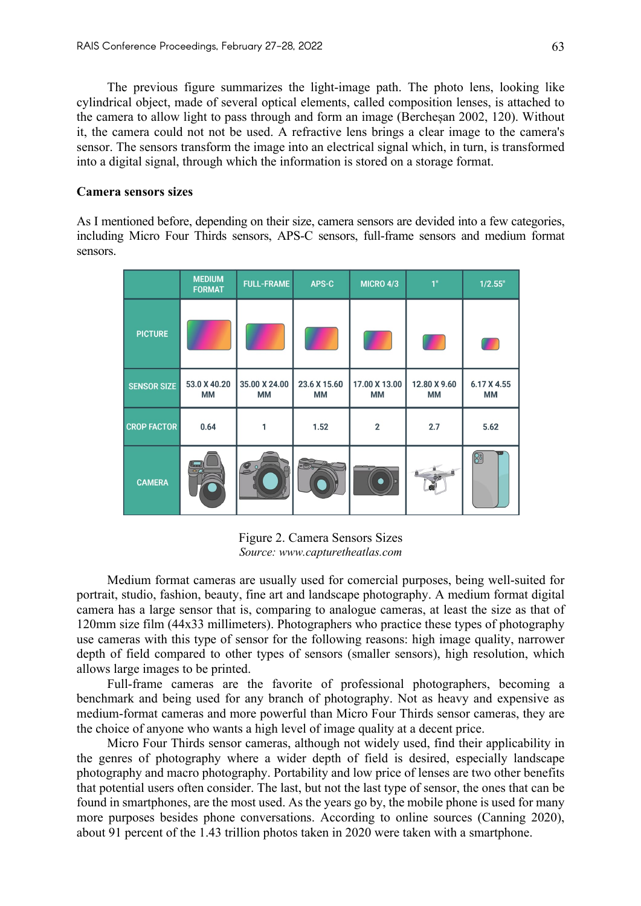The previous figure summarizes the light-image path. The photo lens, looking like cylindrical object, made of several optical elements, called composition lenses, is attached to the camera to allow light to pass through and form an image (Bercheșan 2002, 120). Without it, the camera could not not be used. A refractive lens brings a clear image to the camera's sensor. The sensors transform the image into an electrical signal which, in turn, is transformed into a digital signal, through which the information is stored on a storage format.

#### **Camera sensors sizes**

As I mentioned before, depending on their size, camera sensors are devided into a few categories, including Micro Four Thirds sensors, APS-C sensors, full-frame sensors and medium format sensors.

|                    | <b>MEDIUM</b><br><b>FORMAT</b> | <b>FULL-FRAME</b>   | APS-C                     | <b>MICRO 4/3</b>    | 1"                        | 1/2.55"           |
|--------------------|--------------------------------|---------------------|---------------------------|---------------------|---------------------------|-------------------|
| <b>PICTURE</b>     |                                |                     |                           |                     |                           | Π                 |
| <b>SENSOR SIZE</b> | 53.0 X 40.20<br>МM             | 35.00 X 24.00<br>МM | 23.6 X 15.60<br><b>MM</b> | 17.00 X 13.00<br>MМ | 12.80 X 9.60<br><b>MM</b> | 6.17 X 4.55<br>MМ |
| <b>CROP FACTOR</b> | 0.64                           |                     | 1.52                      | $\overline{2}$      | 2.7                       | 5.62              |
| <b>CAMERA</b>      | $\circ$                        | $\mathbf{P}$        |                           | $\Omega$            |                           | 8                 |

Figure 2. Camera Sensors Sizes *Source: www.capturetheatlas.com*

Medium format cameras are usually used for comercial purposes, being well-suited for portrait, studio, fashion, beauty, fine art and landscape photography. A medium format digital camera has a large sensor that is, comparing to analogue cameras, at least the size as that of 120mm size film (44x33 millimeters). Photographers who practice these types of photography use cameras with this type of sensor for the following reasons: high image quality, narrower depth of field compared to other types of sensors (smaller sensors), high resolution, which allows large images to be printed.

Full-frame cameras are the favorite of professional photographers, becoming a benchmark and being used for any branch of photography. Not as heavy and expensive as medium-format cameras and more powerful than Micro Four Thirds sensor cameras, they are the choice of anyone who wants a high level of image quality at a decent price.

Micro Four Thirds sensor cameras, although not widely used, find their applicability in the genres of photography where a wider depth of field is desired, especially landscape photography and macro photography. Portability and low price of lenses are two other benefits that potential users often consider. The last, but not the last type of sensor, the ones that can be found in smartphones, are the most used. As the years go by, the mobile phone is used for many more purposes besides phone conversations. According to online sources (Canning 2020), about 91 percent of the 1.43 trillion photos taken in 2020 were taken with a smartphone.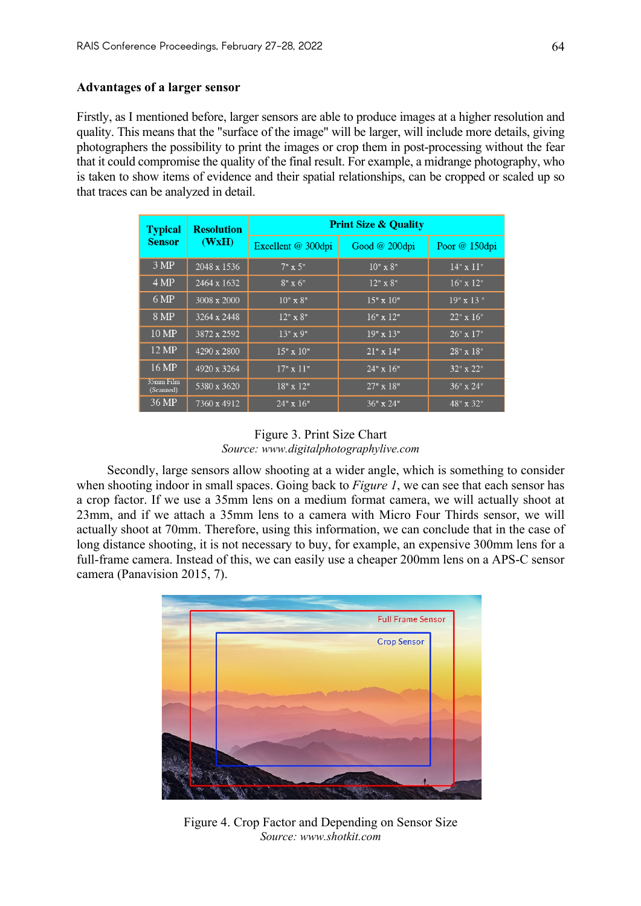## **Advantages of a larger sensor**

Firstly, as I mentioned before, larger sensors are able to produce images at a higher resolution and quality. This means that the "surface of the image" will be larger, will include more details, giving photographers the possibility to print the images or crop them in post-processing without the fear that it could compromise the quality of the final result. For example, a midrange photography, who is taken to show items of evidence and their spatial relationships, can be cropped or scaled up so that traces can be analyzed in detail.

| <b>Typical</b>         | <b>Resolution</b> | <b>Print Size &amp; Quality</b> |                  |                  |  |  |
|------------------------|-------------------|---------------------------------|------------------|------------------|--|--|
| <b>Sensor</b>          | (WxH)             | Excellent @ 300dpi              | Good $@200$ dpi  | Poor $@150$ dpi  |  |  |
| 3 MP                   | 2048 x 1536       | $7" \times 5"$                  | $10" \times 8"$  | $14" \times 11"$ |  |  |
| 4 MP                   | 2464 x 1632       | $8" \times 6"$                  | 12" x 8"         | $16"$ x $12"$    |  |  |
| 6 MP                   | 3008 x 2000       | $10" \times 8"$                 | $15" \times 10"$ | $19"$ x 13"      |  |  |
| 8 MP                   | 3264 x 2448       | $12" \times 8"$                 | $16" \times 12"$ | $22" \times 16"$ |  |  |
| 10 MP                  | 3872 x 2592       | $13"$ x 9"                      | $19" \times 13"$ | $26" \times 17"$ |  |  |
| 12 MP                  | 4290 x 2800       | $15" \times 10"$                | $21"$ x 14"      | 28" x 18"        |  |  |
| 16 MP                  | 4920 x 3264       | $17" \times 11"$                | $24" \times 16"$ | 32" x 22"        |  |  |
| 35mm Film<br>(Scanned) | 5380 x 3620       | 18" x 12"                       | $27" \times 18"$ | $36"$ x 24"      |  |  |
| 36 MP                  | 7360 x 4912       | $24" \times 16"$                | $36" \times 24"$ | 48" x 32"        |  |  |

# Figure 3. Print Size Chart *Source: www.digitalphotographylive.com*

Secondly, large sensors allow shooting at a wider angle, which is something to consider when shooting indoor in small spaces. Going back to *Figure 1*, we can see that each sensor has a crop factor. If we use a 35mm lens on a medium format camera, we will actually shoot at 23mm, and if we attach a 35mm lens to a camera with Micro Four Thirds sensor, we will actually shoot at 70mm. Therefore, using this information, we can conclude that in the case of long distance shooting, it is not necessary to buy, for example, an expensive 300mm lens for a full-frame camera. Instead of this, we can easily use a cheaper 200mm lens on a APS-C sensor camera (Panavision 2015, 7).



Figure 4. Crop Factor and Depending on Sensor Size *Source: www.shotkit.com*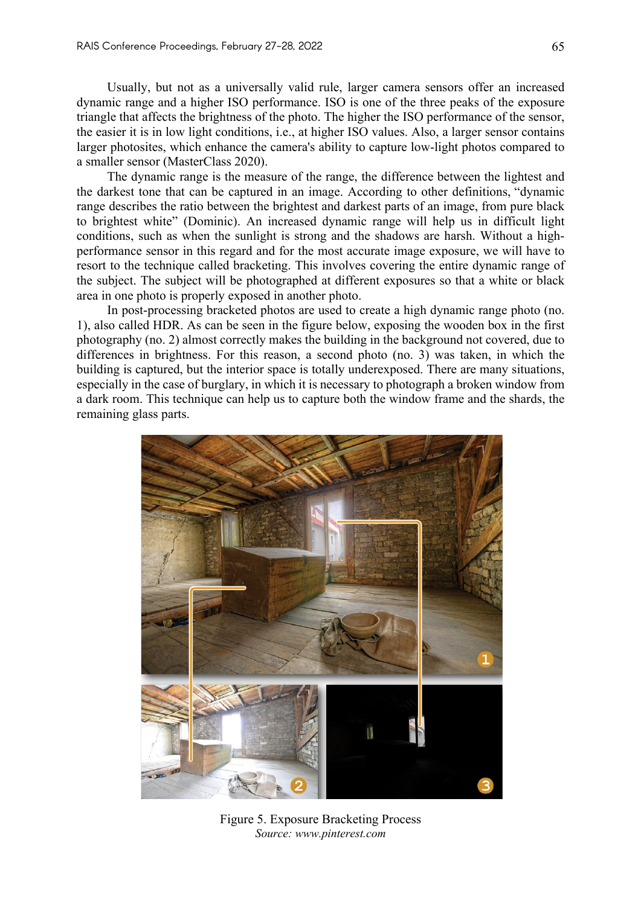Usually, but not as a universally valid rule, larger camera sensors offer an increased dynamic range and a higher ISO performance. ISO is one of the three peaks of the exposure triangle that affects the brightness of the photo. The higher the ISO performance of the sensor, the easier it is in low light conditions, i.e., at higher ISO values. Also, a larger sensor contains larger photosites, which enhance the camera's ability to capture low-light photos compared to a smaller sensor (MasterClass 2020).

The dynamic range is the measure of the range, the difference between the lightest and the darkest tone that can be captured in an image. According to other definitions, "dynamic range describes the ratio between the brightest and darkest parts of an image, from pure black to brightest white" (Dominic). An increased dynamic range will help us in difficult light conditions, such as when the sunlight is strong and the shadows are harsh. Without a highperformance sensor in this regard and for the most accurate image exposure, we will have to resort to the technique called bracketing. This involves covering the entire dynamic range of the subject. The subject will be photographed at different exposures so that a white or black area in one photo is properly exposed in another photo.

In post-processing bracketed photos are used to create a high dynamic range photo (no. 1), also called HDR. As can be seen in the figure below, exposing the wooden box in the first photography (no. 2) almost correctly makes the building in the background not covered, due to differences in brightness. For this reason, a second photo (no. 3) was taken, in which the building is captured, but the interior space is totally underexposed. There are many situations, especially in the case of burglary, in which it is necessary to photograph a broken window from a dark room. This technique can help us to capture both the window frame and the shards, the remaining glass parts.



Figure 5. Exposure Bracketing Process *Source: www.pinterest.com*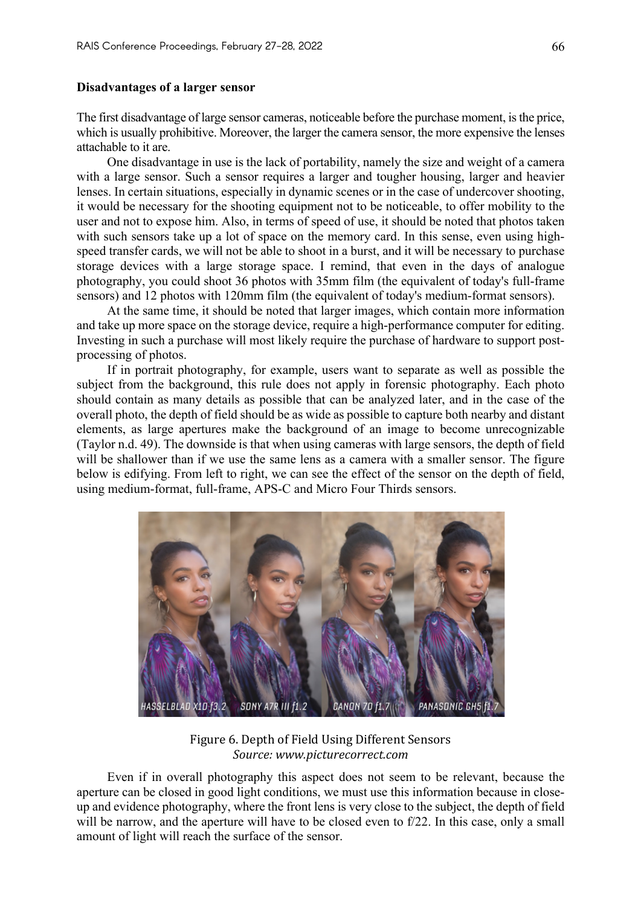### **Disadvantages of a larger sensor**

The first disadvantage of large sensor cameras, noticeable before the purchase moment, is the price, which is usually prohibitive. Moreover, the larger the camera sensor, the more expensive the lenses attachable to it are.

One disadvantage in use is the lack of portability, namely the size and weight of a camera with a large sensor. Such a sensor requires a larger and tougher housing, larger and heavier lenses. In certain situations, especially in dynamic scenes or in the case of undercover shooting, it would be necessary for the shooting equipment not to be noticeable, to offer mobility to the user and not to expose him. Also, in terms of speed of use, it should be noted that photos taken with such sensors take up a lot of space on the memory card. In this sense, even using highspeed transfer cards, we will not be able to shoot in a burst, and it will be necessary to purchase storage devices with a large storage space. I remind, that even in the days of analogue photography, you could shoot 36 photos with 35mm film (the equivalent of today's full-frame sensors) and 12 photos with 120mm film (the equivalent of today's medium-format sensors).

At the same time, it should be noted that larger images, which contain more information and take up more space on the storage device, require a high-performance computer for editing. Investing in such a purchase will most likely require the purchase of hardware to support postprocessing of photos.

If in portrait photography, for example, users want to separate as well as possible the subject from the background, this rule does not apply in forensic photography. Each photo should contain as many details as possible that can be analyzed later, and in the case of the overall photo, the depth of field should be as wide as possible to capture both nearby and distant elements, as large apertures make the background of an image to become unrecognizable (Taylor n.d. 49). The downside is that when using cameras with large sensors, the depth of field will be shallower than if we use the same lens as a camera with a smaller sensor. The figure below is edifying. From left to right, we can see the effect of the sensor on the depth of field, using medium-format, full-frame, APS-C and Micro Four Thirds sensors.



Figure 6. Depth of Field Using Different Sensors *Source: www.picturecorrect.com*

Even if in overall photography this aspect does not seem to be relevant, because the aperture can be closed in good light conditions, we must use this information because in closeup and evidence photography, where the front lens is very close to the subject, the depth of field will be narrow, and the aperture will have to be closed even to f/22. In this case, only a small amount of light will reach the surface of the sensor.